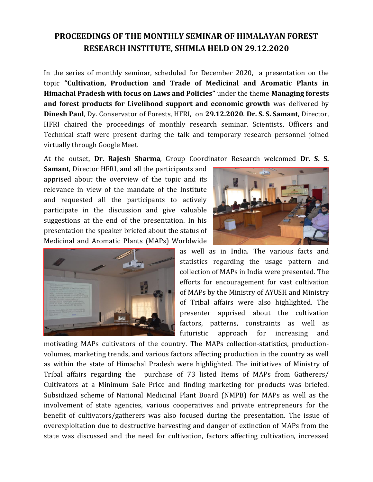## **PROCEEDINGS OF THE MONTHLY SEMINAR OF HIMALAYAN FOREST RESEARCH INSTITUTE, SHIMLA HELD ON 29.12.2020**

In the series of monthly seminar, scheduled for December 2020, a presentation on the topic **"Cultivation, Production and Trade of Medicinal and Aromatic Plants in Himachal Pradesh with focus on Laws and Policies"** under the theme **Managing forests and forest products for Livelihood support and economic growth** was delivered by **Dinesh Paul**, Dy. Conservator of Forests, HFRI, on **29.12.2020**. **Dr. S. S. Samant**, Director, HFRI chaired the proceedings of monthly research seminar. Scientists, Officers and Technical staff were present during the talk and temporary research personnel joined virtually through Google Meet.

At the outset, **Dr. Rajesh Sharma**, Group Coordinator Research welcomed **Dr. S. S.** 

**Samant**, Director HFRI, and all the participants and apprised about the overview of the topic and its relevance in view of the mandate of the Institute and requested all the participants to actively participate in the discussion and give valuable suggestions at the end of the presentation. In his presentation the speaker briefed about the status of Medicinal and Aromatic Plants (MAPs) Worldwide





as well as in India. The various facts and statistics regarding the usage pattern and collection of MAPs in India were presented. The efforts for encouragement for vast cultivation of MAPs by the Ministry of AYUSH and Ministry of Tribal affairs were also highlighted. The presenter apprised about the cultivation factors, patterns, constraints as well as futuristic approach for increasing and

motivating MAPs cultivators of the country. The MAPs collection-statistics, productionvolumes, marketing trends, and various factors affecting production in the country as well as within the state of Himachal Pradesh were highlighted. The initiatives of Ministry of Tribal affairs regarding the purchase of 73 listed Items of MAPs from Gatherers/ Cultivators at a Minimum Sale Price and finding marketing for products was briefed. Subsidized scheme of National Medicinal Plant Board (NMPB) for MAPs as well as the involvement of state agencies, various cooperatives and private entrepreneurs for the benefit of cultivators/gatherers was also focused during the presentation. The issue of overexploitation due to destructive harvesting and danger of extinction of MAPs from the state was discussed and the need for cultivation, factors affecting cultivation, increased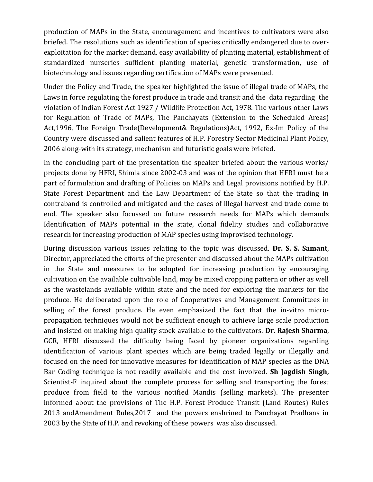production of MAPs in the State, encouragement and incentives to cultivators were also briefed. The resolutions such as identification of species critically endangered due to overexploitation for the market demand, easy availability of planting material, establishment of standardized nurseries sufficient planting material, genetic transformation, use of biotechnology and issues regarding certification of MAPs were presented.

Under the Policy and Trade, the speaker highlighted the issue of illegal trade of MAPs, the Laws in force regulating the forest produce in trade and transit and the data regarding the violation of Indian Forest Act 1927 / Wildlife Protection Act, 1978. The various other Laws for Regulation of Trade of MAPs, The Panchayats (Extension to the Scheduled Areas) Act,1996, The Foreign Trade(Development& Regulations)Act, 1992, Ex-Im Policy of the Country were discussed and salient features of H.P. Forestry Sector Medicinal Plant Policy, 2006 along-with its strategy, mechanism and futuristic goals were briefed.

In the concluding part of the presentation the speaker briefed about the various works/ projects done by HFRI, Shimla since 2002-03 and was of the opinion that HFRI must be a part of formulation and drafting of Policies on MAPs and Legal provisions notified by H.P. State Forest Department and the Law Department of the State so that the trading in contraband is controlled and mitigated and the cases of illegal harvest and trade come to end. The speaker also focussed on future research needs for MAPs which demands Identification of MAPs potential in the state, clonal fidelity studies and collaborative research for increasing production of MAP species using improvised technology.

During discussion various issues relating to the topic was discussed. **Dr. S. S. Samant**, Director, appreciated the efforts of the presenter and discussed about the MAPs cultivation in the State and measures to be adopted for increasing production by encouraging cultivation on the available cultivable land, may be mixed cropping pattern or other as well as the wastelands available within state and the need for exploring the markets for the produce. He deliberated upon the role of Cooperatives and Management Committees in selling of the forest produce. He even emphasized the fact that the in-vitro micropropagation techniques would not be sufficient enough to achieve large scale production and insisted on making high quality stock available to the cultivators. **Dr. Rajesh Sharma**, GCR, HFRI discussed the difficulty being faced by pioneer organizations regarding identification of various plant species which are being traded legally or illegally and focused on the need for innovative measures for identification of MAP species as the DNA Bar Coding technique is not readily available and the cost involved. **Sh Jagdish Singh,** Scientist-F inquired about the complete process for selling and transporting the forest produce from field to the various notified Mandis (selling markets). The presenter informed about the provisions of The H.P. Forest Produce Transit (Land Routes) Rules 2013 andAmendment Rules,2017 and the powers enshrined to Panchayat Pradhans in 2003 by the State of H.P. and revoking of these powers was also discussed.